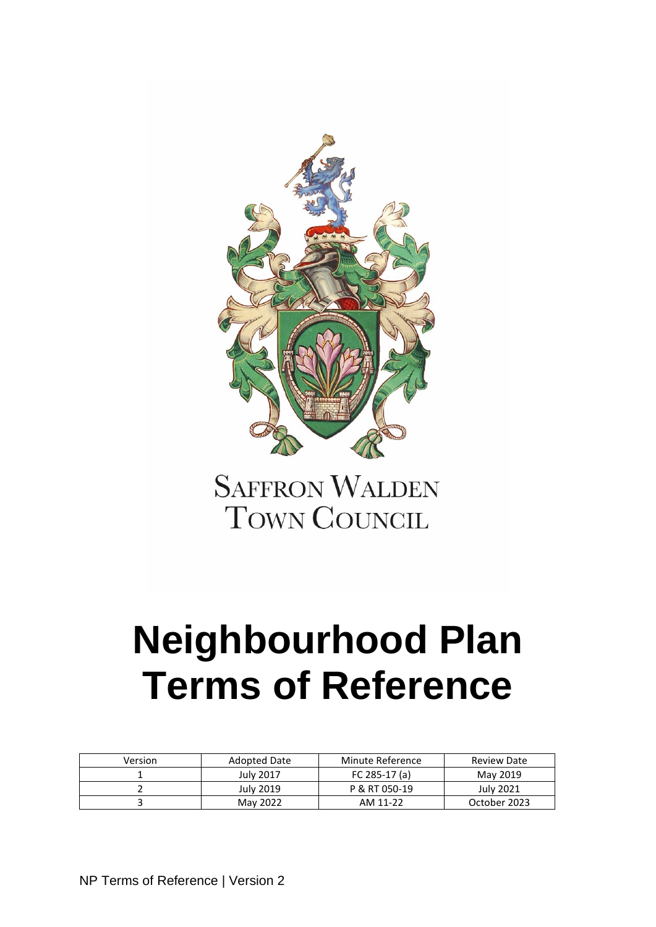

**SAFFRON WALDEN TOWN COUNCIL** 

# **Neighbourhood Plan Terms of Reference**

| Version | Adopted Date | Minute Reference | Review Date      |
|---------|--------------|------------------|------------------|
|         | July 2017    | FC 285-17 (a)    | May 2019         |
|         | July 2019    | P & RT 050-19    | <b>July 2021</b> |
|         | May 2022     | AM 11-22         | October 2023     |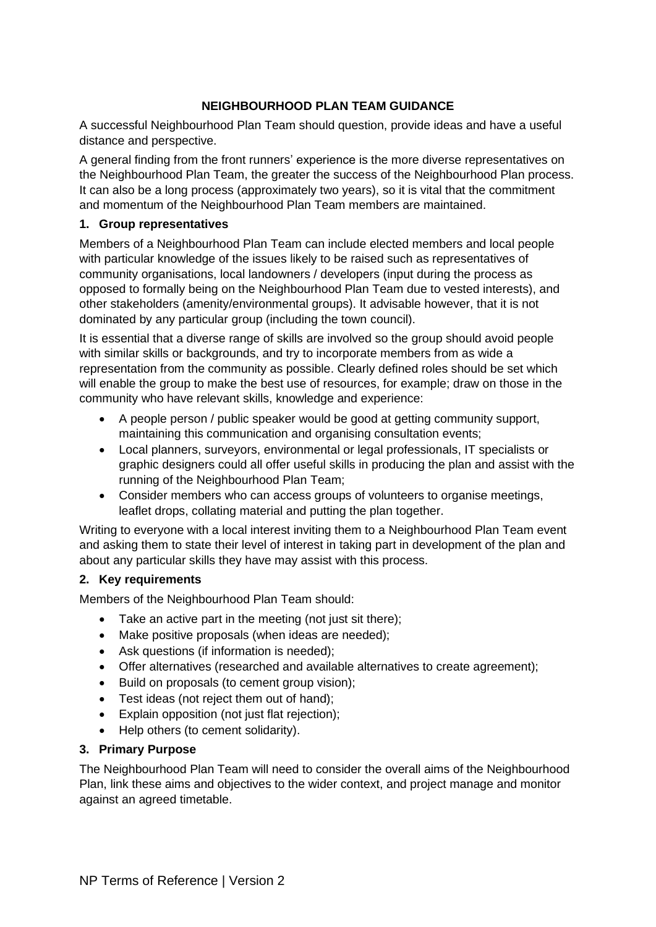## **NEIGHBOURHOOD PLAN TEAM GUIDANCE**

A successful Neighbourhood Plan Team should question, provide ideas and have a useful distance and perspective.

A general finding from the front runners' experience is the more diverse representatives on the Neighbourhood Plan Team, the greater the success of the Neighbourhood Plan process. It can also be a long process (approximately two years), so it is vital that the commitment and momentum of the Neighbourhood Plan Team members are maintained.

### **1. Group representatives**

Members of a Neighbourhood Plan Team can include elected members and local people with particular knowledge of the issues likely to be raised such as representatives of community organisations, local landowners / developers (input during the process as opposed to formally being on the Neighbourhood Plan Team due to vested interests), and other stakeholders (amenity/environmental groups). It advisable however, that it is not dominated by any particular group (including the town council).

It is essential that a diverse range of skills are involved so the group should avoid people with similar skills or backgrounds, and try to incorporate members from as wide a representation from the community as possible. Clearly defined roles should be set which will enable the group to make the best use of resources, for example; draw on those in the community who have relevant skills, knowledge and experience:

- A people person / public speaker would be good at getting community support, maintaining this communication and organising consultation events;
- Local planners, surveyors, environmental or legal professionals, IT specialists or graphic designers could all offer useful skills in producing the plan and assist with the running of the Neighbourhood Plan Team;
- Consider members who can access groups of volunteers to organise meetings, leaflet drops, collating material and putting the plan together.

Writing to everyone with a local interest inviting them to a Neighbourhood Plan Team event and asking them to state their level of interest in taking part in development of the plan and about any particular skills they have may assist with this process.

## **2. Key requirements**

Members of the Neighbourhood Plan Team should:

- Take an active part in the meeting (not just sit there);
- Make positive proposals (when ideas are needed);
- Ask questions (if information is needed);
- Offer alternatives (researched and available alternatives to create agreement);
- Build on proposals (to cement group vision);
- Test ideas (not reject them out of hand):
- Explain opposition (not just flat rejection);
- Help others (to cement solidarity).

#### **3. Primary Purpose**

The Neighbourhood Plan Team will need to consider the overall aims of the Neighbourhood Plan, link these aims and objectives to the wider context, and project manage and monitor against an agreed timetable.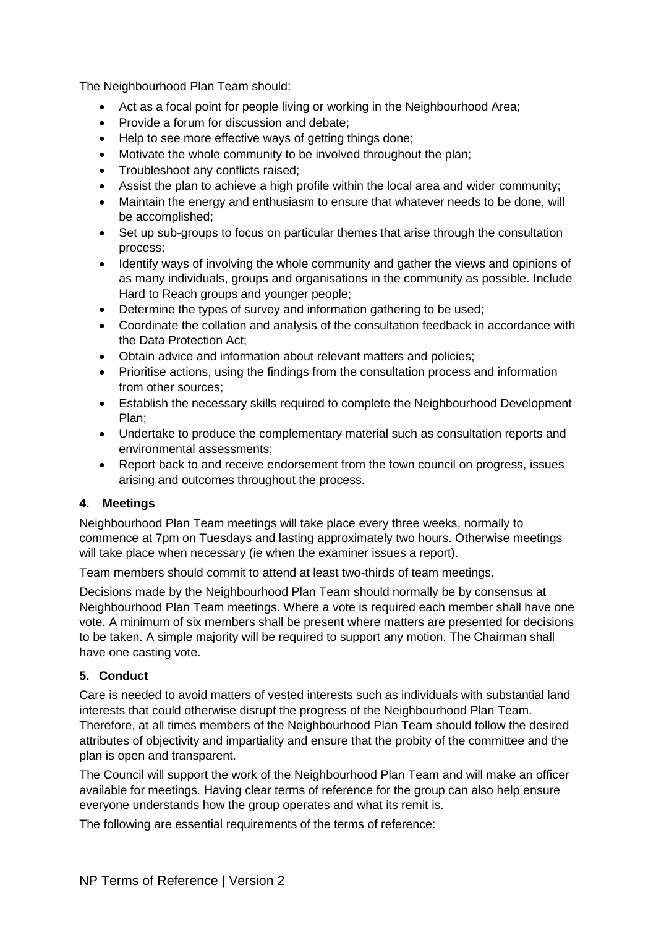The Neighbourhood Plan Team should:

- Act as a focal point for people living or working in the Neighbourhood Area;
- Provide a forum for discussion and debate;
- Help to see more effective ways of getting things done;
- Motivate the whole community to be involved throughout the plan;
- Troubleshoot any conflicts raised:
- Assist the plan to achieve a high profile within the local area and wider community;
- Maintain the energy and enthusiasm to ensure that whatever needs to be done, will be accomplished;
- Set up sub-groups to focus on particular themes that arise through the consultation process;
- Identify ways of involving the whole community and gather the views and opinions of as many individuals, groups and organisations in the community as possible. Include Hard to Reach groups and younger people;
- Determine the types of survey and information gathering to be used;
- Coordinate the collation and analysis of the consultation feedback in accordance with the Data Protection Act;
- Obtain advice and information about relevant matters and policies;
- Prioritise actions, using the findings from the consultation process and information from other sources;
- Establish the necessary skills required to complete the Neighbourhood Development Plan;
- Undertake to produce the complementary material such as consultation reports and environmental assessments;
- Report back to and receive endorsement from the town council on progress, issues arising and outcomes throughout the process.

## **4. Meetings**

Neighbourhood Plan Team meetings will take place every three weeks, normally to commence at 7pm on Tuesdays and lasting approximately two hours. Otherwise meetings will take place when necessary (ie when the examiner issues a report).

Team members should commit to attend at least two-thirds of team meetings.

Decisions made by the Neighbourhood Plan Team should normally be by consensus at Neighbourhood Plan Team meetings. Where a vote is required each member shall have one vote. A minimum of six members shall be present where matters are presented for decisions to be taken. A simple majority will be required to support any motion. The Chairman shall have one casting vote.

## **5. Conduct**

Care is needed to avoid matters of vested interests such as individuals with substantial land interests that could otherwise disrupt the progress of the Neighbourhood Plan Team. Therefore, at all times members of the Neighbourhood Plan Team should follow the desired attributes of objectivity and impartiality and ensure that the probity of the committee and the plan is open and transparent.

The Council will support the work of the Neighbourhood Plan Team and will make an officer available for meetings. Having clear terms of reference for the group can also help ensure everyone understands how the group operates and what its remit is.

The following are essential requirements of the terms of reference: